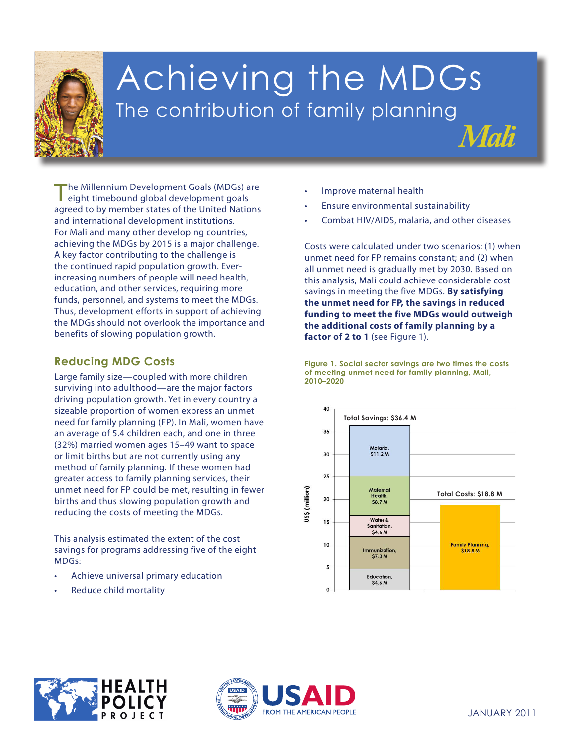

# Achieving the MDGs The contribution of family planning

The Millennium Development Goals (MDGs) are eight timebound global development goals agreed to by member states of the United Nations and international development institutions. For Mali and many other developing countries, achieving the MDGs by 2015 is a major challenge. A key factor contributing to the challenge is the continued rapid population growth. Everincreasing numbers of people will need health, education, and other services, requiring more funds, personnel, and systems to meet the MDGs. Thus, development efforts in support of achieving the MDGs should not overlook the importance and benefits of slowing population growth.

## **Reducing MDG Costs**

reducing the costs of meeting the MDGs. Large family size—coupled with more children surviving into adulthood—are the major factors driving population growth. Yet in every country a sizeable proportion of women express an unmet need for family planning (FP). In Mali, women have an average of 5.4 children each, and one in three (32%) married women ages 15–49 want to space or limit births but are not currently using any method of family planning. If these women had greater access to family planning services, their unmet need for FP could be met, resulting in fewer births and thus slowing population growth and

**This analysis estimated the extent of the cost** savings for programs addressing five of the eight **3. Promote gender** MDGs: **equality andempower**

- **women** • Achieve universal primary education
- **4. Reduce child mortality** Reduce child mortality
- Improve maternal health
- Ensure environmental sustainability
- Combat HIV/AIDS, malaria, and other diseases

*Mali*

Costs were calculated under two scenarios: (1) when unmet need for FP remains constant; and (2) when all unmet need is gradually met by 2030. Based on this analysis, Mali could achieve considerable cost savings in meeting the five MDGs. **By satisfying the unmet need for FP, the savings in reduced funding to meet the five MDGs would outweigh the additional costs of family planning by a**  factor of 2 to 1 (see Figure 1).

**Figure 1. Social sector savings are two times the costs of meeting unmet need for family planning, Mali, 2010–2020**